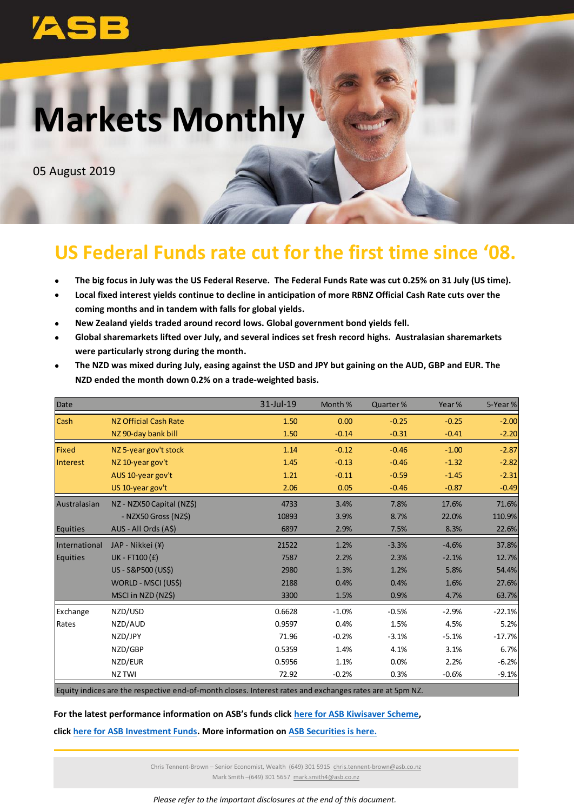# **Markets Monthly**

05 August 2019

## **US Federal Funds rate cut for the first time since '08.**

- **The big focus in July was the US Federal Reserve. The Federal Funds Rate was cut 0.25% on 31 July (US time).**
- **Local fixed interest yields continue to decline in anticipation of more RBNZ Official Cash Rate cuts over the coming months and in tandem with falls for global yields.**
- **New Zealand yields traded around record lows. Global government bond yields fell.**
- **Global sharemarkets lifted over July, and several indices set fresh record highs. Australasian sharemarkets were particularly strong during the month.**

| Date          |                           | 31-Jul-19 | Month % | Quarter % | Year %  | 5-Year%  |
|---------------|---------------------------|-----------|---------|-----------|---------|----------|
| <b>Cash</b>   | NZ Official Cash Rate     | 1.50      | 0.00    | $-0.25$   | $-0.25$ | $-2.00$  |
|               | NZ 90-day bank bill       | 1.50      | $-0.14$ | $-0.31$   | $-0.41$ | $-2.20$  |
| <b>Fixed</b>  | NZ 5-year gov't stock     | 1.14      | $-0.12$ | $-0.46$   | $-1.00$ | $-2.87$  |
| Interest      | NZ 10-year gov't          | 1.45      | $-0.13$ | $-0.46$   | $-1.32$ | $-2.82$  |
|               | AUS 10-year gov't         | 1.21      | $-0.11$ | $-0.59$   | $-1.45$ | $-2.31$  |
|               | US 10-year gov't          | 2.06      | 0.05    | $-0.46$   | $-0.87$ | $-0.49$  |
| Australasian  | NZ - NZX50 Capital (NZ\$) | 4733      | 3.4%    | 7.8%      | 17.6%   | 71.6%    |
|               | - NZX50 Gross (NZ\$)      | 10893     | 3.9%    | 8.7%      | 22.0%   | 110.9%   |
| Equities      | AUS - All Ords (A\$)      | 6897      | 2.9%    | 7.5%      | 8.3%    | 22.6%    |
| International | JAP - Nikkei (¥)          | 21522     | 1.2%    | $-3.3%$   | $-4.6%$ | 37.8%    |
| Equities      | UK - FT100 $(f)$          | 7587      | 2.2%    | 2.3%      | $-2.1%$ | 12.7%    |
|               | US - S&P500 (US\$)        | 2980      | 1.3%    | 1.2%      | 5.8%    | 54.4%    |
|               | WORLD - MSCI (US\$)       | 2188      | 0.4%    | 0.4%      | 1.6%    | 27.6%    |
|               | MSCI in NZD (NZ\$)        | 3300      | 1.5%    | 0.9%      | 4.7%    | 63.7%    |
| Exchange      | NZD/USD                   | 0.6628    | $-1.0%$ | $-0.5%$   | $-2.9%$ | $-22.1%$ |
| Rates         | NZD/AUD                   | 0.9597    | 0.4%    | 1.5%      | 4.5%    | 5.2%     |
|               | NZD/JPY                   | 71.96     | $-0.2%$ | $-3.1%$   | $-5.1%$ | $-17.7%$ |
|               | NZD/GBP                   | 0.5359    | 1.4%    | 4.1%      | 3.1%    | 6.7%     |
|               | NZD/EUR                   | 0.5956    | 1.1%    | 0.0%      | 2.2%    | $-6.2%$  |
|               | NZ TWI                    | 72.92     | $-0.2%$ | 0.3%      | $-0.6%$ | $-9.1%$  |

 **The NZD was mixed during July, easing against the USD and JPY but gaining on the AUD, GBP and EUR. The NZD ended the month down 0.2% on a trade-weighted basis.**

Equity indices are the respective end-of-month closes. Interest rates and exchanges rates are at 5pm NZ.

## **For the latest performance information on ASB's funds click [here for ASB Kiwisaver](https://www.asb.co.nz/documents/kiwisaver/returns-to-investors.html) Scheme,**

**click [here for ASB Investment Funds.](https://www.asb.co.nz/documents/investment-advice/asb-investment-funds/fund-returns.html) More information o[n ASB Securities is here.](https://www.asb.co.nz/asb-securities)**

Chris Tennent-Brown – Senior Economist, Wealth (649) 301 5915 [chris.tennent-brown@asb.co.nz](mailto:chris.tennent-brown@asb.co.nz) Mark Smith –(649) 301 5657 mark.smith4@asb.co.nz

*Please refer to the important disclosures at the end of this document.*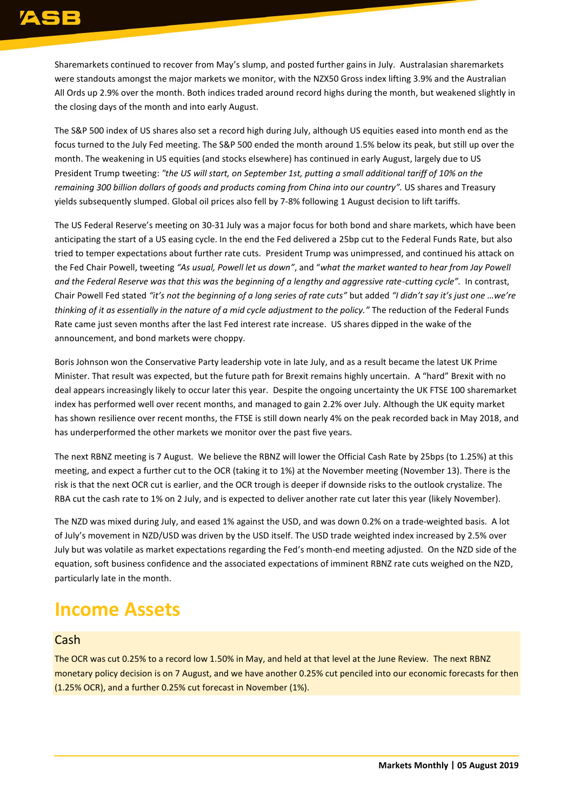Sharemarkets continued to recover from May's slump, and posted further gains in July. Australasian sharemarkets were standouts amongst the major markets we monitor, with the NZX50 Gross index lifting 3.9% and the Australian All Ords up 2.9% over the month. Both indices traded around record highs during the month, but weakened slightly in the closing days of the month and into early August.

The S&P 500 index of US shares also set a record high during July, although US equities eased into month end as the focus turned to the July Fed meeting. The S&P 500 ended the month around 1.5% below its peak, but still up over the month. The weakening in US equities (and stocks elsewhere) has continued in early August, largely due to US President Trump tweeting: *"the US will start, on September 1st, putting a small additional tariff of 10% on the remaining 300 billion dollars of goods and products coming from China into our country".* US shares and Treasury yields subsequently slumped. Global oil prices also fell by 7-8% following 1 August decision to lift tariffs.

The US Federal Reserve's meeting on 30-31 July was a major focus for both bond and share markets, which have been anticipating the start of a US easing cycle. In the end the Fed delivered a 25bp cut to the Federal Funds Rate, but also tried to temper expectations about further rate cuts. President Trump was unimpressed, and continued his attack on the Fed Chair Powell, tweeting *"As usual, Powell let us down"*, and "*what the market wanted to hear from Jay Powell and the Federal Reserve was that this was the beginning of a lengthy and aggressive rate-cutting cycle".* In contrast, Chair Powell Fed stated "it's not the beginning of a long series of rate cuts" but added "I didn't say it's just one ...we're *thinking of it as essentially in the nature of a mid cycle adjustment to the policy."* The reduction of the Federal Funds Rate came just seven months after the last Fed interest rate increase. US shares dipped in the wake of the announcement, and bond markets were choppy.

Boris Johnson won the Conservative Party leadership vote in late July, and as a result became the latest UK Prime Minister. That result was expected, but the future path for Brexit remains highly uncertain. A "hard" Brexit with no deal appears increasingly likely to occur later this year. Despite the ongoing uncertainty the UK FTSE 100 sharemarket index has performed well over recent months, and managed to gain 2.2% over July. Although the UK equity market has shown resilience over recent months, the FTSE is still down nearly 4% on the peak recorded back in May 2018, and has underperformed the other markets we monitor over the past five years.

The next RBNZ meeting is 7 August. We believe the RBNZ will lower the Official Cash Rate by 25bps (to 1.25%) at this meeting, and expect a further cut to the OCR (taking it to 1%) at the November meeting (November 13). There is the risk is that the next OCR cut is earlier, and the OCR trough is deeper if downside risks to the outlook crystalize. The RBA cut the cash rate to 1% on 2 July, and is expected to deliver another rate cut later this year (likely November).

The NZD was mixed during July, and eased 1% against the USD, and was down 0.2% on a trade-weighted basis. A lot of July's movement in NZD/USD was driven by the USD itself. The USD trade weighted index increased by 2.5% over July but was volatile as market expectations regarding the Fed's month-end meeting adjusted. On the NZD side of the equation, soft business confidence and the associated expectations of imminent RBNZ rate cuts weighed on the NZD, particularly late in the month.

## **Income Assets**

## Cash

The OCR was cut 0.25% to a record low 1.50% in May, and held at that level at the June Review. The next RBNZ monetary policy decision is on 7 August, and we have another 0.25% cut penciled into our economic forecasts for then (1.25% OCR), and a further 0.25% cut forecast in November (1%).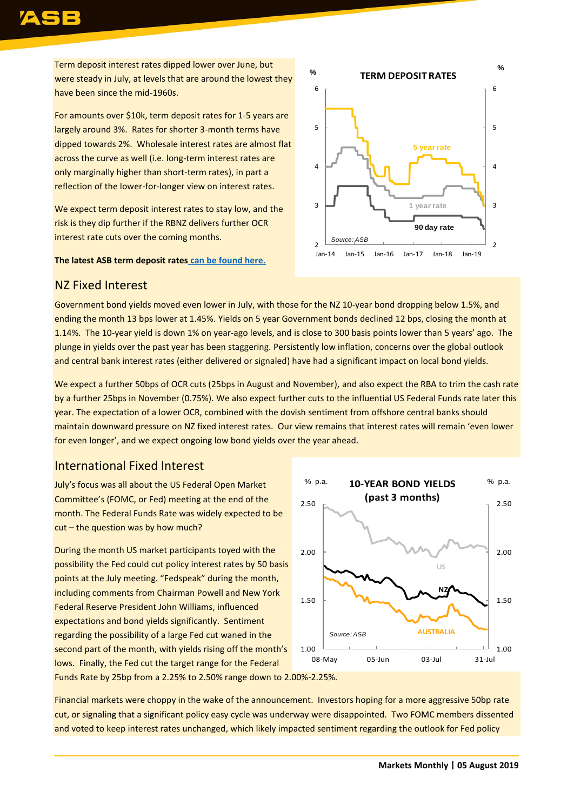Term deposit interest rates dipped lower over June, but were steady in July, at levels that are around the lowest they have been since the mid-1960s.

For amounts over \$10k, term deposit rates for 1-5 years are largely around 3%. Rates for shorter 3-month terms have dipped towards 2%. Wholesale interest rates are almost flat across the curve as well (i.e. long-term interest rates are only marginally higher than short-term rates), in part a reflection of the lower-for-longer view on interest rates.

We expect term deposit interest rates to stay low, and the risk is they dip further if the RBNZ delivers further OCR interest rate cuts over the coming months.

### **The latest ASB term deposit rates [can be found here.](https://www.asb.co.nz/term-investments/term-investment-rates.html)**



## NZ Fixed Interest

Government bond yields moved even lower in July, with those for the NZ 10-year bond dropping below 1.5%, and ending the month 13 bps lower at 1.45%. Yields on 5 year Government bonds declined 12 bps, closing the month at 1.14%. The 10-year yield is down 1% on year-ago levels, and is close to 300 basis points lower than 5 years' ago. The plunge in yields over the past year has been staggering. Persistently low inflation, concerns over the global outlook and central bank interest rates (either delivered or signaled) have had a significant impact on local bond yields.

We expect a further 50bps of OCR cuts (25bps in August and November), and also expect the RBA to trim the cash rate by a further 25bps in November (0.75%). We also expect further cuts to the influential US Federal Funds rate later this year. The expectation of a lower OCR, combined with the dovish sentiment from offshore central banks should maintain downward pressure on NZ fixed interest rates. Our view remains that interest rates will remain 'even lower for even longer', and we expect ongoing low bond yields over the year ahead.

## International Fixed Interest

July's focus was all about the US Federal Open Market Committee's (FOMC, or Fed) meeting at the end of the month. The Federal Funds Rate was widely expected to be cut – the question was by how much?

During the month US market participants toyed with the possibility the Fed could cut policy interest rates by 50 basis points at the July meeting. "Fedspeak" during the month, including comments from Chairman Powell and New York Federal Reserve President John Williams, influenced expectations and bond yields significantly. Sentiment regarding the possibility of a large Fed cut waned in the second part of the month, with yields rising off the month's lows. Finally, the Fed cut the target range for the Federal Funds Rate by 25bp from a 2.25% to 2.50% range down to 2.00%-2.25%.



Financial markets were choppy in the wake of the announcement. Investors hoping for a more aggressive 50bp rate cut, or signaling that a significant policy easy cycle was underway were disappointed. Two FOMC members dissented and voted to keep interest rates unchanged, which likely impacted sentiment regarding the outlook for Fed policy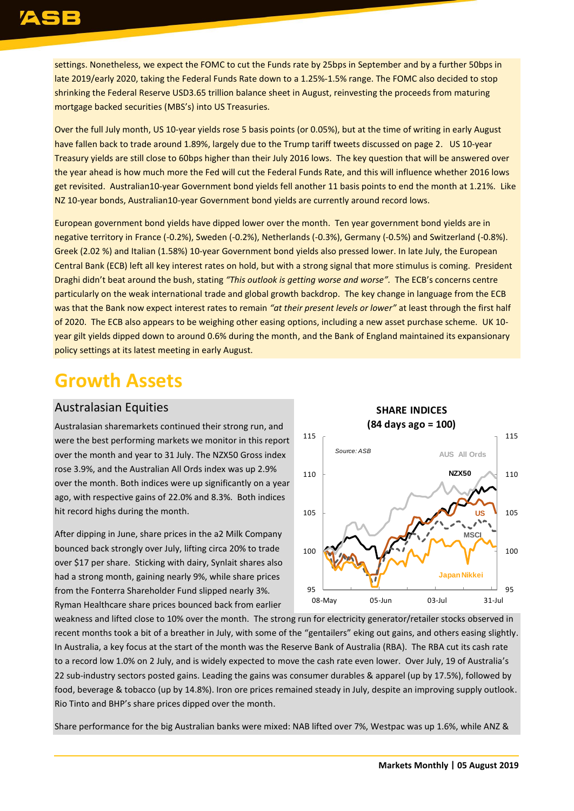settings. Nonetheless, we expect the FOMC to cut the Funds rate by 25bps in September and by a further 50bps in late 2019/early 2020, taking the Federal Funds Rate down to a 1.25%-1.5% range. The FOMC also decided to stop shrinking the Federal Reserve USD3.65 trillion balance sheet in August, reinvesting the proceeds from maturing mortgage backed securities (MBS's) into US Treasuries.

Over the full July month, US 10-year yields rose 5 basis points (or 0.05%), but at the time of writing in early August have fallen back to trade around 1.89%, largely due to the Trump tariff tweets discussed on page 2. US 10-year Treasury yields are still close to 60bps higher than their July 2016 lows. The key question that will be answered over the year ahead is how much more the Fed will cut the Federal Funds Rate, and this will influence whether 2016 lows get revisited. Australian10-year Government bond yields fell another 11 basis points to end the month at 1.21%. Like NZ 10-year bonds, Australian10-year Government bond yields are currently around record lows.

European government bond yields have dipped lower over the month. Ten year government bond yields are in negative territory in France (-0.2%), Sweden (-0.2%), Netherlands (-0.3%), Germany (-0.5%) and Switzerland (-0.8%). Greek (2.02 %) and Italian (1.58%) 10-year Government bond yields also pressed lower. In late July, the European Central Bank (ECB) left all key interest rates on hold, but with a strong signal that more stimulus is coming. President Draghi didn't beat around the bush, stating *"This outlook is getting worse and worse".* The ECB's concerns centre particularly on the weak international trade and global growth backdrop. The key change in language from the ECB was that the Bank now expect interest rates to remain *"at their present levels or lower"* at least through the first half of 2020. The ECB also appears to be weighing other easing options, including a new asset purchase scheme. UK 10 year gilt yields dipped down to around 0.6% during the month, and the Bank of England maintained its expansionary policy settings at its latest meeting in early August.

## **Growth Assets**

## Australasian Equities

Australasian sharemarkets continued their strong run, and were the best performing markets we monitor in this report over the month and year to 31 July. The NZX50 Gross index rose 3.9%, and the Australian All Ords index was up 2.9% over the month. Both indices were up significantly on a year ago, with respective gains of 22.0% and 8.3%. Both indices hit record highs during the month.

After dipping in June, share prices in the a2 Milk Company bounced back strongly over July, lifting circa 20% to trade over \$17 per share. Sticking with dairy, Synlait shares also had a strong month, gaining nearly 9%, while share prices from the Fonterra Shareholder Fund slipped nearly 3%. Ryman Healthcare share prices bounced back from earlier



weakness and lifted close to 10% over the month. The strong run for electricity generator/retailer stocks observed in recent months took a bit of a breather in July, with some of the "gentailers" eking out gains, and others easing slightly. In Australia, a key focus at the start of the month was the Reserve Bank of Australia (RBA). The RBA cut its cash rate to a record low 1.0% on 2 July, and is widely expected to move the cash rate even lower. Over July, 19 of Australia's 22 sub-industry sectors posted gains. Leading the gains was consumer durables & apparel (up by 17.5%), followed by food, beverage & tobacco (up by 14.8%). Iron ore prices remained steady in July, despite an improving supply outlook. Rio Tinto and BHP's share prices dipped over the month.

Share performance for the big Australian banks were mixed: NAB lifted over 7%, Westpac was up 1.6%, while ANZ &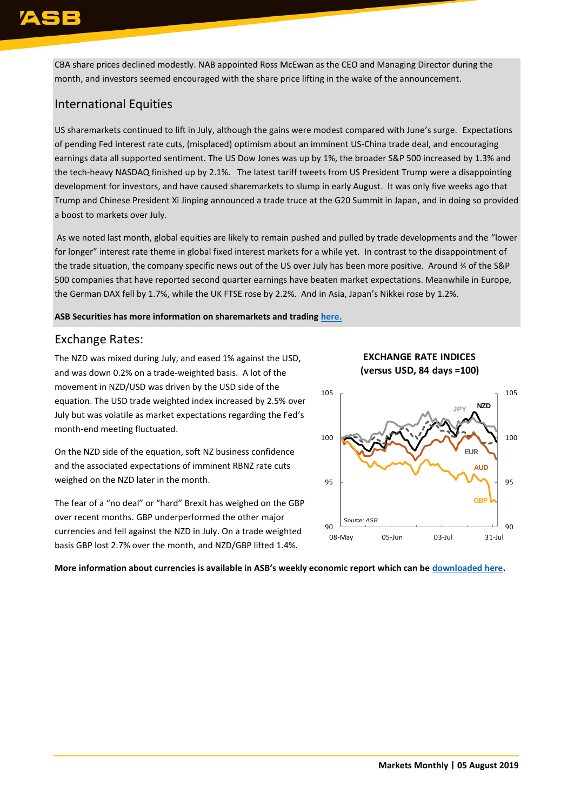CBA share prices declined modestly. NAB appointed Ross McEwan as the CEO and Managing Director during the month, and investors seemed encouraged with the share price lifting in the wake of the announcement.

## International Equities

US sharemarkets continued to lift in July, although the gains were modest compared with June's surge. Expectations of pending Fed interest rate cuts, (misplaced) optimism about an imminent US-China trade deal, and encouraging earnings data all supported sentiment. The US Dow Jones was up by 1%, the broader S&P 500 increased by 1.3% and the tech-heavy NASDAQ finished up by 2.1%. The latest tariff tweets from US President Trump were a disappointing development for investors, and have caused sharemarkets to slump in early August. It was only five weeks ago that Trump and Chinese President Xi Jinping announced a trade truce at the G20 Summit in Japan, and in doing so provided a boost to markets over July.

As we noted last month, global equities are likely to remain pushed and pulled by trade developments and the "lower for longer" interest rate theme in global fixed interest markets for a while yet. In contrast to the disappointment of the trade situation, the company specific news out of the US over July has been more positive. Around % of the S&P 500 companies that have reported second quarter earnings have beaten market expectations. Meanwhile in Europe, the German DAX fell by 1.7%, while the UK FTSE rose by 2.2%. And in Asia, Japan's Nikkei rose by 1.2%.

**ASB Securities has more information on sharemarkets and trading [here.](https://www.asb.co.nz/asb-securities)** 

## Exchange Rates:

The NZD was mixed during July, and eased 1% against the USD, and was down 0.2% on a trade-weighted basis. A lot of the movement in NZD/USD was driven by the USD side of the equation. The USD trade weighted index increased by 2.5% over July but was volatile as market expectations regarding the Fed's month-end meeting fluctuated.

On the NZD side of the equation, soft NZ business confidence and the associated expectations of imminent RBNZ rate cuts weighed on the NZD later in the month.

The fear of a "no deal" or "hard" Brexit has weighed on the GBP over recent months. GBP underperformed the other major currencies and fell against the NZD in July. On a trade weighted basis GBP lost 2.7% over the month, and NZD/GBP lifted 1.4%.

## **EXCHANGE RATE INDICES (versus USD, 84 days =100)**



**More information about currencies is available in ASB's weekly economic report which can be [downloaded here.](https://www.asb.co.nz/documents/economic-research/economic-weekly.html)**